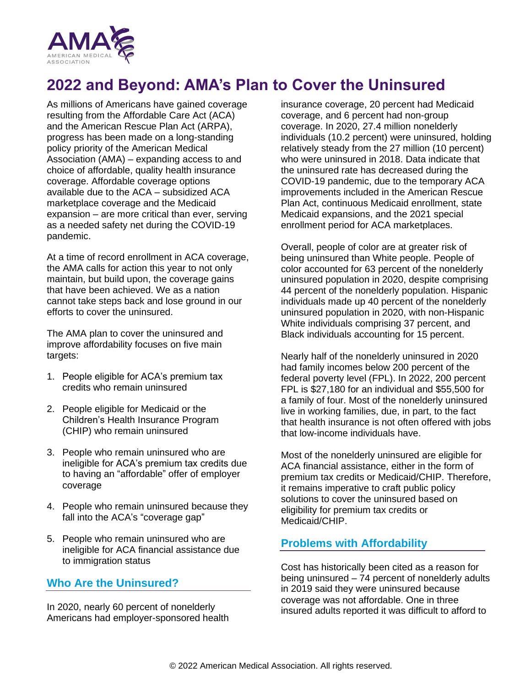

# **2022 and Beyond: AMA's Plan to Cover the Uninsured**

As millions of Americans have gained coverage resulting from the Affordable Care Act (ACA) and the American Rescue Plan Act (ARPA), progress has been made on a long-standing policy priority of the American Medical Association (AMA) – expanding access to and choice of affordable, quality health insurance coverage. Affordable coverage options available due to the ACA – subsidized ACA marketplace coverage and the Medicaid expansion – are more critical than ever, serving as a needed safety net during the COVID-19 pandemic.

At a time of record enrollment in ACA coverage, the AMA calls for action this year to not only maintain, but build upon, the coverage gains that have been achieved. We as a nation cannot take steps back and lose ground in our efforts to cover the uninsured.

The AMA plan to cover the uninsured and improve affordability focuses on five main targets:

- 1. People eligible for ACA's premium tax credits who remain uninsured
- 2. People eligible for Medicaid or the Children's Health Insurance Program (CHIP) who remain uninsured
- 3. People who remain uninsured who are ineligible for ACA's premium tax credits due to having an "affordable" offer of employer coverage
- 4. People who remain uninsured because they fall into the ACA's "coverage gap"
- 5. People who remain uninsured who are ineligible for ACA financial assistance due to immigration status

#### **Who Are the Uninsured?**

In 2020, nearly 60 percent of nonelderly Americans had employer-sponsored health insurance coverage, 20 percent had Medicaid coverage, and 6 percent had non-group coverage. In 2020, 27.4 million nonelderly individuals (10.2 percent) were uninsured, holding relatively steady from the 27 million (10 percent) who were uninsured in 2018. Data indicate that the uninsured rate has decreased during the COVID-19 pandemic, due to the temporary ACA improvements included in the American Rescue Plan Act, continuous Medicaid enrollment, state Medicaid expansions, and the 2021 special enrollment period for ACA marketplaces.

Overall, people of color are at greater risk of being uninsured than White people. People of color accounted for 63 percent of the nonelderly uninsured population in 2020, despite comprising 44 percent of the nonelderly population. Hispanic individuals made up 40 percent of the nonelderly uninsured population in 2020, with non-Hispanic White individuals comprising 37 percent, and Black individuals accounting for 15 percent.

Nearly half of the nonelderly uninsured in 2020 had family incomes below 200 percent of the federal poverty level (FPL). In 2022, 200 percent FPL is \$27,180 for an individual and \$55,500 for a family of four. Most of the nonelderly uninsured live in working families, due, in part, to the fact that health insurance is not often offered with jobs that low-income individuals have.

Most of the nonelderly uninsured are eligible for ACA financial assistance, either in the form of premium tax credits or Medicaid/CHIP. Therefore, it remains imperative to craft public policy solutions to cover the uninsured based on eligibility for premium tax credits or Medicaid/CHIP.

#### **Problems with Affordability**

Cost has historically been cited as a reason for being uninsured – 74 percent of nonelderly adults in 2019 said they were uninsured because coverage was not affordable. One in three insured adults reported it was difficult to afford to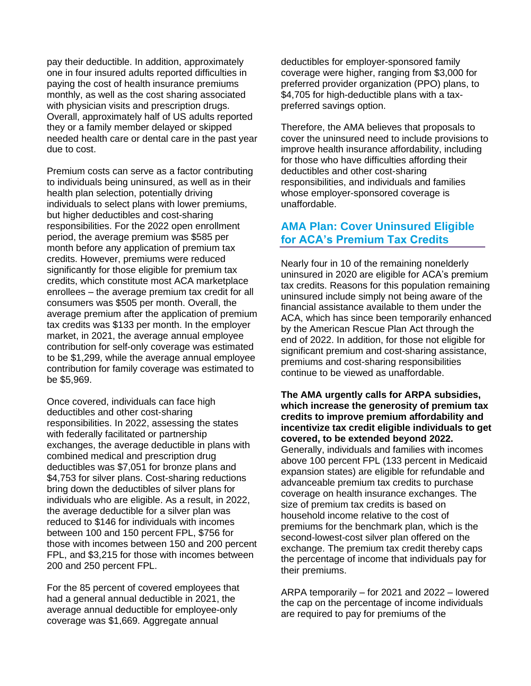pay their deductible. In addition, approximately one in four insured adults reported difficulties in paying the cost of health insurance premiums monthly, as well as the cost sharing associated with physician visits and prescription drugs. Overall, approximately half of US adults reported they or a family member delayed or skipped needed health care or dental care in the past year due to cost.

Premium costs can serve as a factor contributing to individuals being uninsured, as well as in their health plan selection, potentially driving individuals to select plans with lower premiums, but higher deductibles and cost-sharing responsibilities. For the 2022 open enrollment period, the average premium was \$585 per month before any application of premium tax credits. However, premiums were reduced significantly for those eligible for premium tax credits, which constitute most ACA marketplace enrollees – the average premium tax credit for all consumers was \$505 per month. Overall, the average premium after the application of premium tax credits was \$133 per month. In the employer market, in 2021, the average annual employee contribution for self-only coverage was estimated to be \$1,299, while the average annual employee contribution for family coverage was estimated to be \$5,969.

Once covered, individuals can face high deductibles and other cost-sharing responsibilities. In 2022, assessing the states with federally facilitated or partnership exchanges, the average deductible in plans with combined medical and prescription drug deductibles was \$7,051 for bronze plans and \$4,753 for silver plans. Cost-sharing reductions bring down the deductibles of silver plans for individuals who are eligible. As a result, in 2022, the average deductible for a silver plan was reduced to \$146 for individuals with incomes between 100 and 150 percent FPL, \$756 for those with incomes between 150 and 200 percent FPL, and \$3,215 for those with incomes between 200 and 250 percent FPL.

For the 85 percent of covered employees that had a general annual deductible in 2021, the average annual deductible for employee-only coverage was \$1,669. Aggregate annual

deductibles for employer-sponsored family coverage were higher, ranging from \$3,000 for preferred provider organization (PPO) plans, to \$4,705 for high-deductible plans with a taxpreferred savings option.

Therefore, the AMA believes that proposals to cover the uninsured need to include provisions to improve health insurance affordability, including for those who have difficulties affording their deductibles and other cost-sharing responsibilities, and individuals and families whose employer-sponsored coverage is unaffordable.

## **AMA Plan: Cover Uninsured Eligible for ACA's Premium Tax Credits**

Nearly four in 10 of the remaining nonelderly uninsured in 2020 are eligible for ACA's premium tax credits. Reasons for this population remaining uninsured include simply not being aware of the financial assistance available to them under the ACA, which has since been temporarily enhanced by the American Rescue Plan Act through the end of 2022. In addition, for those not eligible for significant premium and cost-sharing assistance, premiums and cost-sharing responsibilities continue to be viewed as unaffordable.

**The AMA urgently calls for ARPA subsidies, which increase the generosity of premium tax credits to improve premium affordability and incentivize tax credit eligible individuals to get covered, to be extended beyond 2022.** Generally, individuals and families with incomes above 100 percent FPL (133 percent in Medicaid expansion states) are eligible for refundable and advanceable premium tax credits to purchase coverage on health insurance exchanges. The size of premium tax credits is based on household income relative to the cost of premiums for the benchmark plan, which is the second-lowest-cost silver plan offered on the exchange. The premium tax credit thereby caps the percentage of income that individuals pay for their premiums.

ARPA temporarily – for 2021 and 2022 – lowered the cap on the percentage of income individuals are required to pay for premiums of the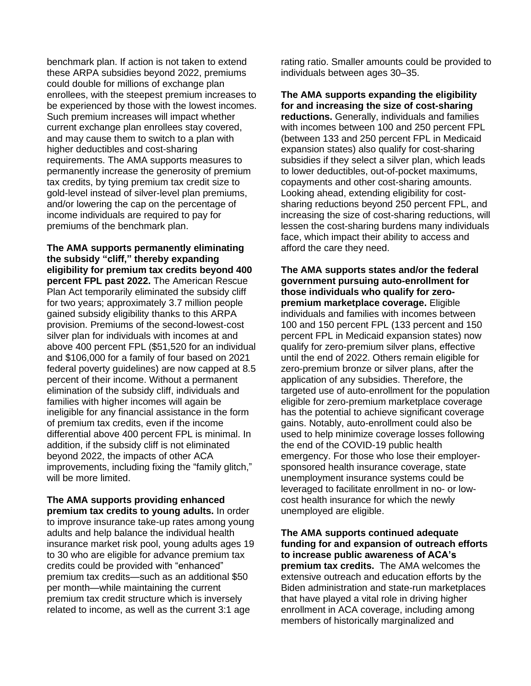benchmark plan. If action is not taken to extend these ARPA subsidies beyond 2022, premiums could double for millions of exchange plan enrollees, with the steepest premium increases to be experienced by those with the lowest incomes. Such premium increases will impact whether current exchange plan enrollees stay covered, and may cause them to switch to a plan with higher deductibles and cost-sharing requirements. The AMA supports measures to permanently increase the generosity of premium tax credits, by tying premium tax credit size to gold-level instead of silver-level plan premiums, and/or lowering the cap on the percentage of income individuals are required to pay for premiums of the benchmark plan.

**The AMA supports permanently eliminating the subsidy "cliff," thereby expanding eligibility for premium tax credits beyond 400 percent FPL past 2022.** The American Rescue Plan Act temporarily eliminated the subsidy cliff for two years; approximately 3.7 million people gained subsidy eligibility thanks to this ARPA provision. Premiums of the second-lowest-cost silver plan for individuals with incomes at and above 400 percent FPL (\$51,520 for an individual and \$106,000 for a family of four based on 2021 federal poverty guidelines) are now capped at 8.5 percent of their income. Without a permanent elimination of the subsidy cliff, individuals and families with higher incomes will again be ineligible for any financial assistance in the form of premium tax credits, even if the income differential above 400 percent FPL is minimal. In addition, if the subsidy cliff is not eliminated beyond 2022, the impacts of other ACA improvements, including fixing the "family glitch," will be more limited.

**The AMA supports providing enhanced premium tax credits to young adults.** In order to improve insurance take-up rates among young adults and help balance the individual health insurance market risk pool, young adults ages 19 to 30 who are eligible for advance premium tax credits could be provided with "enhanced" premium tax credits—such as an additional \$50 per month—while maintaining the current premium tax credit structure which is inversely related to income, as well as the current 3:1 age

rating ratio. Smaller amounts could be provided to individuals between ages 30–35.

**The AMA supports expanding the eligibility for and increasing the size of cost-sharing reductions.** Generally, individuals and families with incomes between 100 and 250 percent FPL (between 133 and 250 percent FPL in Medicaid expansion states) also qualify for cost-sharing subsidies if they select a silver plan, which leads to lower deductibles, out-of-pocket maximums, copayments and other cost-sharing amounts. Looking ahead, extending eligibility for costsharing reductions beyond 250 percent FPL, and increasing the size of cost-sharing reductions, will lessen the cost-sharing burdens many individuals face, which impact their ability to access and afford the care they need.

**The AMA supports states and/or the federal government pursuing auto-enrollment for those individuals who qualify for zeropremium marketplace coverage.** Eligible individuals and families with incomes between 100 and 150 percent FPL (133 percent and 150 percent FPL in Medicaid expansion states) now qualify for zero-premium silver plans, effective until the end of 2022. Others remain eligible for zero-premium bronze or silver plans, after the application of any subsidies. Therefore, the targeted use of auto-enrollment for the population eligible for zero-premium marketplace coverage has the potential to achieve significant coverage gains. Notably, auto-enrollment could also be used to help minimize coverage losses following the end of the COVID-19 public health emergency. For those who lose their employersponsored health insurance coverage, state unemployment insurance systems could be leveraged to facilitate enrollment in no- or lowcost health insurance for which the newly unemployed are eligible.

**The AMA supports continued adequate funding for and expansion of outreach efforts to increase public awareness of ACA's premium tax credits.** The AMA welcomes the extensive outreach and education efforts by the Biden administration and state-run marketplaces that have played a vital role in driving higher enrollment in ACA coverage, including among members of historically marginalized and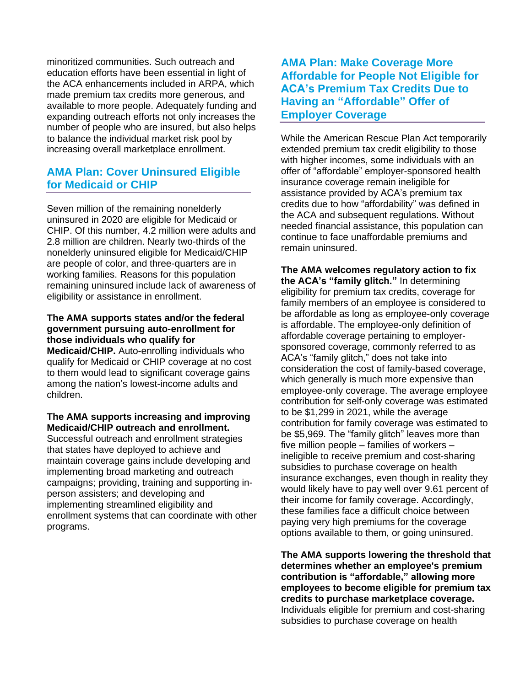minoritized communities. Such outreach and education efforts have been essential in light of the ACA enhancements included in ARPA, which made premium tax credits more generous, and available to more people. Adequately funding and expanding outreach efforts not only increases the number of people who are insured, but also helps to balance the individual market risk pool by increasing overall marketplace enrollment.

# **AMA Plan: Cover Uninsured Eligible for Medicaid or CHIP**

Seven million of the remaining nonelderly uninsured in 2020 are eligible for Medicaid or CHIP. Of this number, 4.2 million were adults and 2.8 million are children. Nearly two-thirds of the nonelderly uninsured eligible for Medicaid/CHIP are people of color, and three-quarters are in working families. Reasons for this population remaining uninsured include lack of awareness of eligibility or assistance in enrollment.

#### **The AMA supports states and/or the federal government pursuing auto-enrollment for those individuals who qualify for**

**Medicaid/CHIP.** Auto-enrolling individuals who qualify for Medicaid or CHIP coverage at no cost to them would lead to significant coverage gains among the nation's lowest-income adults and children.

#### **The AMA supports increasing and improving Medicaid/CHIP outreach and enrollment.**

Successful outreach and enrollment strategies that states have deployed to achieve and maintain coverage gains include developing and implementing broad marketing and outreach campaigns; providing, training and supporting inperson assisters; and developing and implementing streamlined eligibility and enrollment systems that can coordinate with other programs.

# **AMA Plan: Make Coverage More Affordable for People Not Eligible for ACA's Premium Tax Credits Due to Having an "Affordable" Offer of Employer Coverage**

While the American Rescue Plan Act temporarily extended premium tax credit eligibility to those with higher incomes, some individuals with an offer of "affordable" employer-sponsored health insurance coverage remain ineligible for assistance provided by ACA's premium tax credits due to how "affordability" was defined in the ACA and subsequent regulations. Without needed financial assistance, this population can continue to face unaffordable premiums and remain uninsured.

**The AMA welcomes regulatory action to fix the ACA's "family glitch."** In determining eligibility for premium tax credits, coverage for family members of an employee is considered to be affordable as long as employee-only coverage is affordable. The employee-only definition of affordable coverage pertaining to employersponsored coverage, commonly referred to as ACA's "family glitch," does not take into consideration the cost of family-based coverage, which generally is much more expensive than employee-only coverage. The average employee contribution for self-only coverage was estimated to be \$1,299 in 2021, while the average contribution for family coverage was estimated to be \$5,969. The "family glitch" leaves more than five million people – families of workers – ineligible to receive premium and cost-sharing subsidies to purchase coverage on health insurance exchanges, even though in reality they would likely have to pay well over 9.61 percent of their income for family coverage. Accordingly, these families face a difficult choice between paying very high premiums for the coverage options available to them, or going uninsured.

**The AMA supports lowering the threshold that determines whether an employee's premium contribution is "affordable," allowing more employees to become eligible for premium tax credits to purchase marketplace coverage.** Individuals eligible for premium and cost-sharing subsidies to purchase coverage on health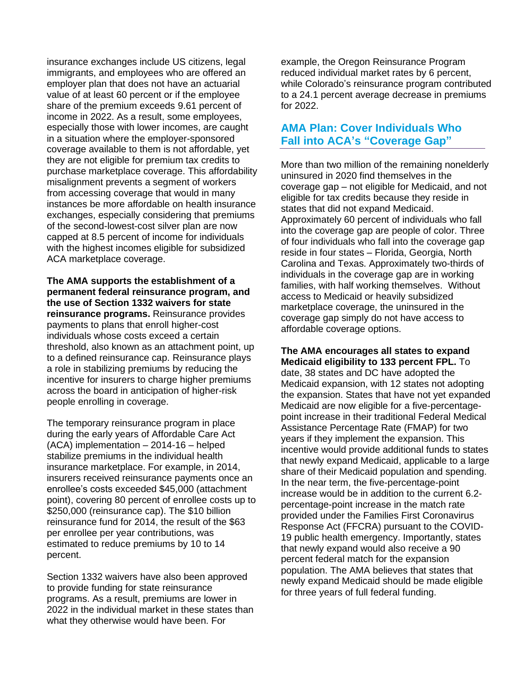insurance exchanges include US citizens, legal immigrants, and employees who are offered an employer plan that does not have an actuarial value of at least 60 percent or if the employee share of the premium exceeds 9.61 percent of income in 2022. As a result, some employees, especially those with lower incomes, are caught in a situation where the employer-sponsored coverage available to them is not affordable, yet they are not eligible for premium tax credits to purchase marketplace coverage. This affordability misalignment prevents a segment of workers from accessing coverage that would in many instances be more affordable on health insurance exchanges, especially considering that premiums of the second-lowest-cost silver plan are now capped at 8.5 percent of income for individuals with the highest incomes eligible for subsidized ACA marketplace coverage.

**The AMA supports the establishment of a permanent federal reinsurance program, and the use of Section 1332 waivers for state reinsurance programs.** Reinsurance provides payments to plans that enroll higher-cost individuals whose costs exceed a certain threshold, also known as an attachment point, up to a defined reinsurance cap. Reinsurance plays a role in stabilizing premiums by reducing the incentive for insurers to charge higher premiums across the board in anticipation of higher-risk people enrolling in coverage.

The temporary reinsurance program in place during the early years of Affordable Care Act (ACA) implementation – 2014-16 – helped stabilize premiums in the individual health insurance marketplace. For example, in 2014, insurers received reinsurance payments once an enrollee's costs exceeded \$45,000 (attachment point), covering 80 percent of enrollee costs up to \$250,000 (reinsurance cap). The \$10 billion reinsurance fund for 2014, the result of the \$63 per enrollee per year contributions, was estimated to reduce premiums by 10 to 14 percent.

Section 1332 waivers have also been approved to provide funding for state reinsurance programs. As a result, premiums are lower in 2022 in the individual market in these states than what they otherwise would have been. For

example, the Oregon Reinsurance Program reduced individual market rates by 6 percent, while Colorado's reinsurance program contributed to a 24.1 percent average decrease in premiums for 2022.

# **AMA Plan: Cover Individuals Who Fall into ACA's "Coverage Gap"**

More than two million of the remaining nonelderly uninsured in 2020 find themselves in the coverage gap – not eligible for Medicaid, and not eligible for tax credits because they reside in states that did not expand Medicaid. Approximately 60 percent of individuals who fall into the coverage gap are people of color. Three of four individuals who fall into the coverage gap reside in four states – Florida, Georgia, North Carolina and Texas. Approximately two-thirds of individuals in the coverage gap are in working families, with half working themselves. Without access to Medicaid or heavily subsidized marketplace coverage, the uninsured in the coverage gap simply do not have access to affordable coverage options.

#### **The AMA encourages all states to expand Medicaid eligibility to 133 percent FPL.** To

date, 38 states and DC have adopted the Medicaid expansion, with 12 states not adopting the expansion. States that have not yet expanded Medicaid are now eligible for a five-percentagepoint increase in their traditional Federal Medical Assistance Percentage Rate (FMAP) for two years if they implement the expansion. This incentive would provide additional funds to states that newly expand Medicaid, applicable to a large share of their Medicaid population and spending. In the near term, the five-percentage-point increase would be in addition to the current 6.2 percentage-point increase in the match rate provided under the Families First Coronavirus Response Act (FFCRA) pursuant to the COVID-19 public health emergency. Importantly, states that newly expand would also receive a 90 percent federal match for the expansion population. The AMA believes that states that newly expand Medicaid should be made eligible for three years of full federal funding.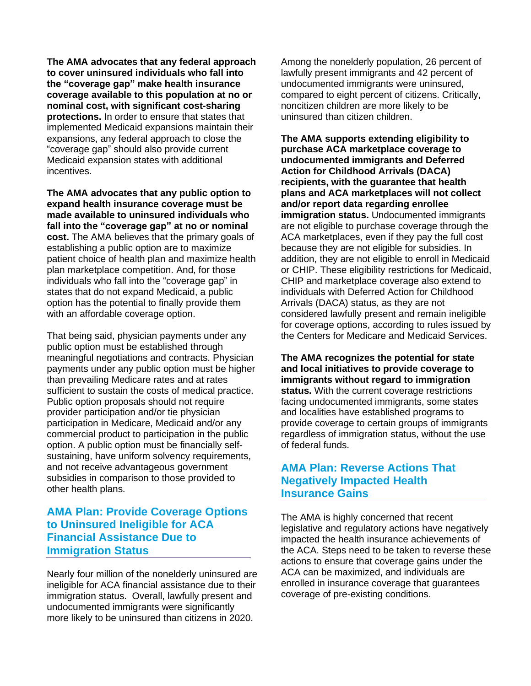**The AMA advocates that any federal approach to cover uninsured individuals who fall into the "coverage gap" make health insurance coverage available to this population at no or nominal cost, with significant cost-sharing protections.** In order to ensure that states that implemented Medicaid expansions maintain their expansions, any federal approach to close the "coverage gap" should also provide current Medicaid expansion states with additional incentives.

**The AMA advocates that any public option to expand health insurance coverage must be made available to uninsured individuals who fall into the "coverage gap" at no or nominal cost.** The AMA believes that the primary goals of establishing a public option are to maximize patient choice of health plan and maximize health plan marketplace competition. And, for those individuals who fall into the "coverage gap" in states that do not expand Medicaid, a public option has the potential to finally provide them with an affordable coverage option.

That being said, physician payments under any public option must be established through meaningful negotiations and contracts. Physician payments under any public option must be higher than prevailing Medicare rates and at rates sufficient to sustain the costs of medical practice. Public option proposals should not require provider participation and/or tie physician participation in Medicare, Medicaid and/or any commercial product to participation in the public option. A public option must be financially selfsustaining, have uniform solvency requirements, and not receive advantageous government subsidies in comparison to those provided to other health plans.

# **AMA Plan: Provide Coverage Options to Uninsured Ineligible for ACA Financial Assistance Due to Immigration Status**

Nearly four million of the nonelderly uninsured are ineligible for ACA financial assistance due to their immigration status. Overall, lawfully present and undocumented immigrants were significantly more likely to be uninsured than citizens in 2020.

Among the nonelderly population, 26 percent of lawfully present immigrants and 42 percent of undocumented immigrants were uninsured, compared to eight percent of citizens. Critically, noncitizen children are more likely to be uninsured than citizen children.

**The AMA supports extending eligibility to purchase ACA marketplace coverage to undocumented immigrants and Deferred Action for Childhood Arrivals (DACA) recipients, with the guarantee that health plans and ACA marketplaces will not collect and/or report data regarding enrollee immigration status.** Undocumented immigrants are not eligible to purchase coverage through the ACA marketplaces, even if they pay the full cost because they are not eligible for subsidies. In addition, they are not eligible to enroll in Medicaid or CHIP. These eligibility restrictions for Medicaid, CHIP and marketplace coverage also extend to individuals with Deferred Action for Childhood Arrivals (DACA) status, as they are not considered lawfully present and remain ineligible for coverage options, according to rules issued by the Centers for Medicare and Medicaid Services.

**The AMA recognizes the potential for state and local initiatives to provide coverage to immigrants without regard to immigration status.** With the current coverage restrictions facing undocumented immigrants, some states and localities have established programs to provide coverage to certain groups of immigrants regardless of immigration status, without the use of federal funds.

# **AMA Plan: Reverse Actions That Negatively Impacted Health Insurance Gains**

The AMA is highly concerned that recent legislative and regulatory actions have negatively impacted the health insurance achievements of the ACA. Steps need to be taken to reverse these actions to ensure that coverage gains under the ACA can be maximized, and individuals are enrolled in insurance coverage that guarantees coverage of pre-existing conditions.